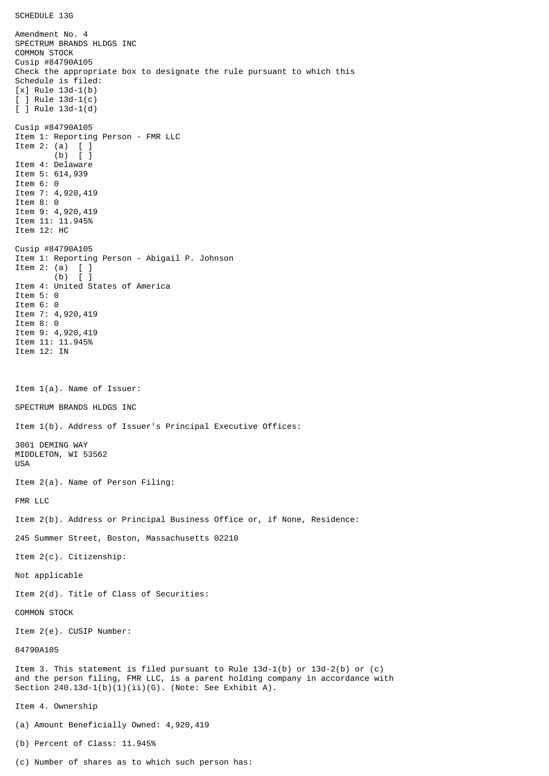SCHEDULE 13G

Amendment No. 4 SPECTRUM BRANDS HLDGS INC COMMON STOCK Cusip #84790A105 Check the appropriate box to designate the rule pursuant to which this Schedule is filed: [x] Rule 13d-1(b) [ ] Rule 13d-1(c) [ ] Rule 13d-1(d) Cusip #84790A105 Item 1: Reporting Person - FMR LLC Item 2: (a) [ ] (b) [ ] Item 4: Delaware Item 5: 614,939 Item 6: 0 Item 7: 4,920,419 Item 8: 0 Item 9: 4,920,419 Item 11: 11.945% Item 12: HC Cusip #84790A105 Item 1: Reporting Person - Abigail P. Johnson Item 2: (a)  $\begin{bmatrix} 1 \\ 0 \end{bmatrix}$  $(b)$ Item 4: United States of America Item 5: 0 Item 6: 0 Item 7: 4,920,419 Item 8: 0 Item 9: 4,920,419 Item 11: 11.945% Item 12: IN Item 1(a). Name of Issuer: SPECTRUM BRANDS HLDGS INC Item 1(b). Address of Issuer's Principal Executive Offices: 3001 DEMING WAY MIDDLETON, WI 53562 USA Item 2(a). Name of Person Filing: FMR LLC Item 2(b). Address or Principal Business Office or, if None, Residence: 245 Summer Street, Boston, Massachusetts 02210 Item 2(c). Citizenship: Not applicable Item 2(d). Title of Class of Securities: COMMON STOCK Item 2(e). CUSIP Number: 84790A105 Item 3. This statement is filed pursuant to Rule 13d-1(b) or 13d-2(b) or (c) and the person filing, FMR LLC, is a parent holding company in accordance with Section 240.13d-1(b)(1)(ii)(G). (Note: See Exhibit A). Item 4. Ownership (a) Amount Beneficially Owned: 4,920,419 (b) Percent of Class: 11.945%

(c) Number of shares as to which such person has: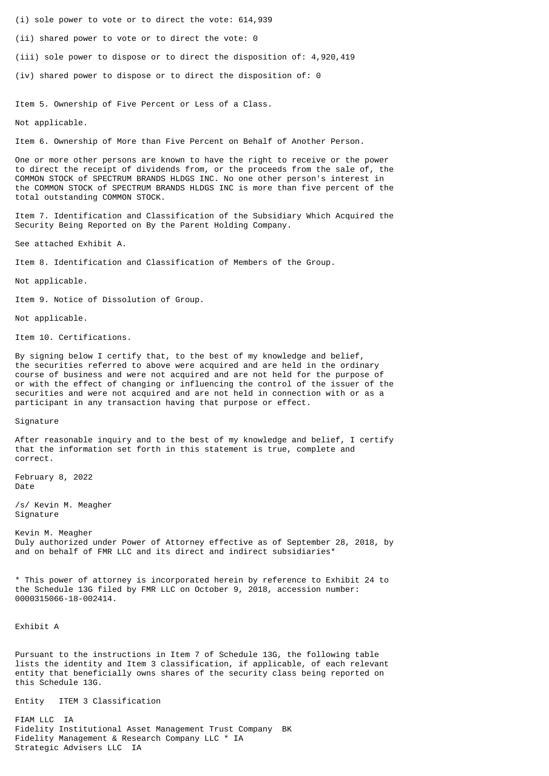- (i) sole power to vote or to direct the vote: 614,939
- (ii) shared power to vote or to direct the vote: 0
- (iii) sole power to dispose or to direct the disposition of: 4,920,419
- (iv) shared power to dispose or to direct the disposition of: 0

Item 5. Ownership of Five Percent or Less of a Class.

Not applicable.

Item 6. Ownership of More than Five Percent on Behalf of Another Person.

One or more other persons are known to have the right to receive or the power to direct the receipt of dividends from, or the proceeds from the sale of, the COMMON STOCK of SPECTRUM BRANDS HLDGS INC. No one other person's interest in the COMMON STOCK of SPECTRUM BRANDS HLDGS INC is more than five percent of the total outstanding COMMON STOCK.

Item 7. Identification and Classification of the Subsidiary Which Acquired the Security Being Reported on By the Parent Holding Company.

See attached Exhibit A.

Item 8. Identification and Classification of Members of the Group.

Not applicable.

Item 9. Notice of Dissolution of Group.

Not applicable.

Item 10. Certifications.

By signing below I certify that, to the best of my knowledge and belief, the securities referred to above were acquired and are held in the ordinary course of business and were not acquired and are not held for the purpose of or with the effect of changing or influencing the control of the issuer of the securities and were not acquired and are not held in connection with or as a participant in any transaction having that purpose or effect.

Signature

After reasonable inquiry and to the best of my knowledge and belief, I certify that the information set forth in this statement is true, complete and correct.

February 8, 2022 Date

/s/ Kevin M. Meagher Signature

Kevin M. Meagher Duly authorized under Power of Attorney effective as of September 28, 2018, by and on behalf of FMR LLC and its direct and indirect subsidiaries\*

\* This power of attorney is incorporated herein by reference to Exhibit 24 to the Schedule 13G filed by FMR LLC on October 9, 2018, accession number: 0000315066-18-002414.

Exhibit A

Pursuant to the instructions in Item 7 of Schedule 13G, the following table lists the identity and Item 3 classification, if applicable, of each relevant entity that beneficially owns shares of the security class being reported on this Schedule 13G.

Entity ITEM 3 Classification

FIAM LLC IA Fidelity Institutional Asset Management Trust Company BK Fidelity Management & Research Company LLC \* IA Strategic Advisers LLC IA